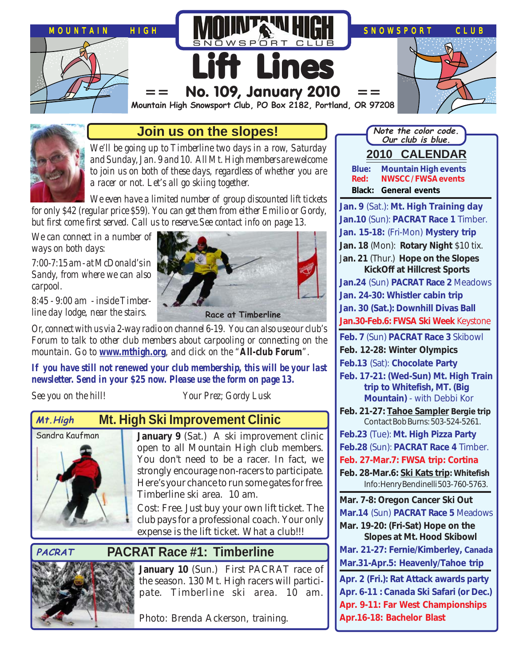



### **Join us on the slopes!**

*We'll be going up to Timberline two days in a row, Saturday and Sunday, Jan. 9 and 10. All Mt. High members are welcome to join us on both of these days, regardless of whether you are a racer or not. Let's all go skiing together.*

*We even have a limited number of group discounted lift tickets for only \$42 (regular price \$59). You can get them from either Emilio or Gordy, but first come first served. Call us to reserve.See contact info on page 13.*

*We can connect in a number of ways on both days:*

*7:00-7:15 am - at McDonald's in Sandy, from where we can also carpool.*

*8:45 - 9:00 am - inside Timberline day lodge, near the stairs.*



**Race at Timberline**

*Or, connect with us via 2-way radio on channel 6-19. You can also use our club's Forum to talk to other club members about carpooling or connecting on the mountain. Go to [www.mthigh.org](http://www.mthigh.org/), and click on the "All-club Forum".*

*If you have still not renewed your club membership, this will be your last newsletter. Send in your \$25 now. Please use the form on page 13.*

*See you on the hill! Your Prez; Gordy Lusk*

#### **Mt. High Ski Improvement Clinic Mt.High**



January 9 (Sat.) A ski improvement clinic open to all Mountain High club members. You don't need to be a racer. In fact, we strongly encourage non-racers to participate. Here's your chance to run some gates for free. Timberline ski area. 10 am.

Cost: Free. Just buy your own lift ticket. The club pays for a professional coach. Your only expense is the lift ticket. What a club!!!

#### **PACRAT**

## **PACRAT Race #1: Timberline**



January 10 (Sun.) First PACRAT race of the season. 130 Mt. High racers will participate. Timberline ski area. 10 am.

Photo: Brenda Ackerson, training.



**Apr.16-18: Bachelor Blast**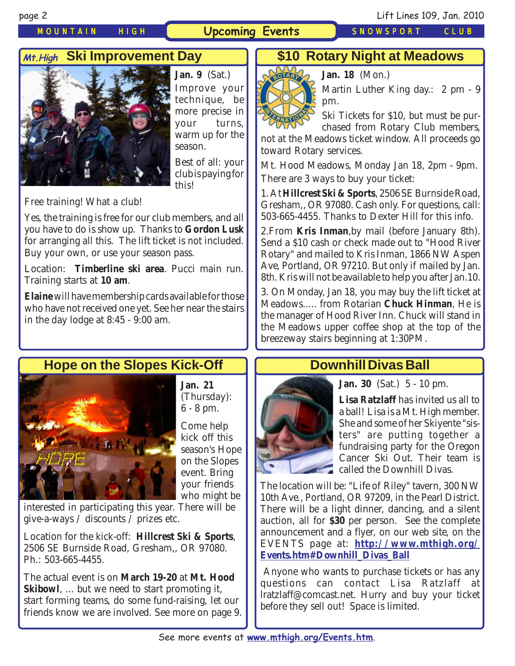### *MOUNTAIN HIGH* **Upcoming Events** *SNOWSPORT CLUB*

Free training! What a club!

Training starts at **10 am**.

**Jan. 9** (Sat.) Improve your technique, be more precise in your turns, warm up for the

season.

this!

Best of all: your club is paying for

**Ski Improvement Day Mt.High \$10 Rotary Night at Meadows**



**Jan. 18** (Mon.)



Ski Tickets for \$10, but must be purchased from Rotary Club members,

not at the Meadows ticket window. All proceeds go toward Rotary services.

Mt. Hood Meadows, Monday Jan 18, 2pm - 9pm. There are 3 ways to buy your ticket:

1. At **Hillcrest Ski & Sports**, 2506 SE Burnside Road, Gresham,, OR 97080. Cash only. For questions, call: 503-665-4455. Thanks to Dexter Hill for this info.

2.From **Kris Inman**,by mail (before January 8th). Send a \$10 cash or check made out to "Hood River Rotary" and mailed to Kris Inman, 1866 NW Aspen Ave, Portland, OR 97210. But only if mailed by Jan. 8th. Kris will not be available to help you after Jan.10.

3. On Monday, Jan 18, you may buy the lift ticket at Meadows..... from Rotarian **Chuck Hinman**, He is the manager of Hood River Inn. Chuck will stand in the Meadows upper coffee shop at the top of the breezeway stairs beginning at 1:30PM.

## **Hope on the Slopes Kick-Off**

Yes, the training is free for our club members, and all you have to do is show up. Thanks to **Gordon Lusk** for arranging all this. The lift ticket is not included.

Location: **Timberline ski area**. Pucci main run.

**Elaine** will have membership cards available for those who have not received one yet. See her near the stairs

Buy your own, or use your season pass.



in the day lodge at 8:45 - 9:00 am.

**Jan. 21** (Thursday): 6 - 8 pm.

Come help kick off this season's Hope on the Slopes event. Bring your friends who might be

interested in participating this year. There will be give-a-ways  $\overline{\smash{)}\ }$  discounts  $\overline{\smash{)}\ }$  prizes etc.

Location for the kick-off: **Hillcrest Ski & Sports**, 2506 SE Burnside Road, Gresham,, OR 97080. Ph.: 503-665-4455.

The actual event is on **March 19-20** at **Mt. Hood Skibowl**, ... but we need to start promoting it, start forming teams, do some fund-raising, let our friends know we are involved. See more on page 9.

## **Downhill Divas Ball**



**Lisa Ratzlaff** has invited us all to a ball! Lisa is a Mt. High member. She and some of her Skiyente "sisters" are putting together a fundraising party for the Oregon Cancer Ski Out. Their team is called the Downhill Divas.

The location will be: "Life of Riley" tavern, 300 NW 10th Ave., Portland, OR 97209, in the Pearl District. There will be a light dinner, dancing, and a silent auction, all for **\$30** per person. See the complete announcement and a flyer, on our web site, on the EVENTS page at: **[http://www.mthigh.org/](http://www.mthigh.org/Events.htm#Downhill_Divas_Ball) [Events.htm#Downhill\\_Divas\\_Ball](http://www.mthigh.org/Events.htm#Downhill_Divas_Ball)**

 Anyone who wants to purchase tickets or has any questions can contact Lisa Ratzlaff at lratzlaff@comcast.net. Hurry and buy your ticket before they sell out! Space is limited.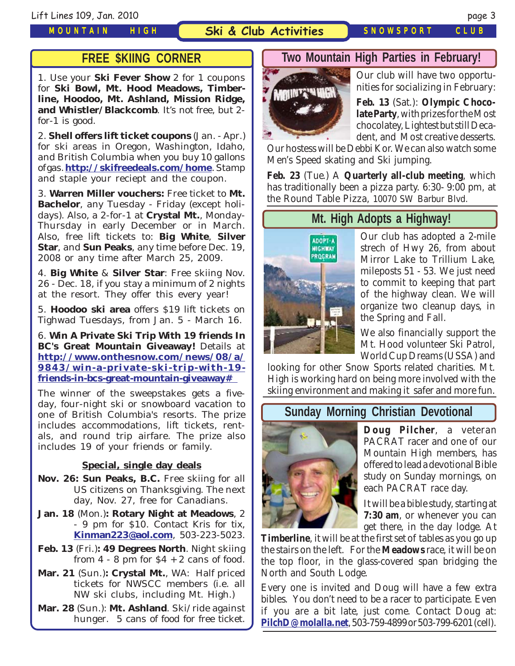#### **Ski & Club Activities** *SNOWSPORT CLUB*

## **FREE \$KIING CORNER**

1. Use your **Ski Fever Show** 2 for 1 coupons for **Ski Bowl, Mt. Hood Meadows, Timberline, Hoodoo, Mt. Ashland, Mission Ridge, and Whistler/Blackcomb**. It's not free, but 2 for-1 is good.

2. **Shell offers lift ticket coupons** (Jan. - Apr.) for ski areas in Oregon, Washington, Idaho, and British Columbia when you buy 10 gallons of gas. **<http://skifreedeals.com/home>**. Stamp and staple your reciept and the coupon.

3. **Warren Miller vouchers:** Free ticket to **Mt. Bachelor**, any Tuesday - Friday (except holidays). Also, a 2-for-1 at **Crystal Mt.**, Monday-Thursday in early December or in March. Also, free lift tickets to: **Big White**, **Silver Star**, and **Sun Peaks**, any time before Dec. 19, 2008 or any time after March 25, 2009.

4. **Big White** & **Silver Star**: Free skiing Nov. 26 - Dec. 18, if you stay a minimum of 2 nights at the resort. They offer this every year!

5. **Hoodoo ski area** offers \$19 lift tickets on Tighwad Tuesdays, from Jan. 5 - March 16.

6. **Win A Private Ski Trip With 19 friends In BC's Great Mountain Giveaway!** Details at **[http://www.onthesnow.com/news/08/a/](http://www.onthesnow.com/news/08/a/9843/win-a-private-ski-trip-with-19-friends-in-bcs-great-mountain-giveaway# ) [9843/win-a-private-ski-trip-with-19](http://www.onthesnow.com/news/08/a/9843/win-a-private-ski-trip-with-19-friends-in-bcs-great-mountain-giveaway# ) [friends-in-bcs-great-mountain-giveaway#](http://www.onthesnow.com/news/08/a/9843/win-a-private-ski-trip-with-19-friends-in-bcs-great-mountain-giveaway# )** 

The winner of the sweepstakes gets a fiveday, four-night ski or snowboard vacation to one of British Columbia's resorts. The prize includes accommodations, lift tickets, rentals, and round trip airfare. The prize also includes 19 of your friends or family.

#### **Special, single day deals**

- **Nov. 26: Sun Peaks, B.C.** Free skiing for all US citizens on Thanksgiving. The next day, Nov. 27, free for Canadians.
- **Jan. 18** (Mon.)**: Rotary Night at Meadows**, 2 - 9 pm for \$10. Contact Kris for tix, **[Kinman223@aol.com](mailto:Kinman223@aol.com)**, 503-223-5023.
- **Feb. 13** (Fri.)**: 49 Degrees North**. Night skiing from  $4 - 8$  pm for  $\$4 + 2$  cans of food.
- **Mar. 21** (Sun.)**: Crystal Mt.**, WA: Half priced tickets for NWSCC members (i.e. all NW ski clubs, including Mt. High.)
- **Mar. 28** (Sun.): **Mt. Ashland**. Ski/ride against hunger. 5 cans of food for free ticket.

### **Two Mountain High Parties in February!**



Our club will have two opportunities for socializing in February:

**Feb. 13** (Sat.): **Olympic Chocolate Party**, with prizes for the Most chocolatey, Lightest but still Decadent, and Most creative desserts.

Our hostess will be Debbi Kor. We can also watch some Men's Speed skating and Ski jumping.

**Feb. 23** (Tue.) A **Quarterly all-club meeting**, which has traditionally been a pizza party. 6:30- 9:00 pm, at the Round Table Pizza, 10070 SW Barbur Blvd.

## **Mt. High Adopts a Highway!**



Our club has adopted a 2-mile strech of Hwy 26, from about Mirror Lake to Trillium Lake, mileposts 51 - 53. We just need to commit to keeping that part of the highway clean. We will organize two cleanup days, in the Spring and Fall.

We also financially support the Mt. Hood volunteer Ski Patrol, World Cup Dreams (USSA) and

looking for other Snow Sports related charities. Mt. High is working hard on being more involved with the skiing environment and making it safer and more fun.

### **Sunday Morning Christian Devotional**



**Doug Pilcher**, a veteran PACRAT racer and one of our Mountain High members, has offered to lead a devotional Bible study on Sunday mornings, on each PACRAT race day.

It will be a bible study, starting at **7:30 am**, or whenever you can get there, in the day lodge. At

**Timberline**, it will be at the first set of tables as you go up the stairs on the left. For the **Meadows** race, it will be on the top floor, in the glass-covered span bridging the North and South Lodge.

Every one is invited and Doug will have a few extra bibles. You don't need to be a racer to participate. Even if you are a bit late, just come. Contact Doug at: **[PilchD@molalla.net](mailto:PilchD@molalla.net)**, 503-759-4899 or 503-799-6201 (cell).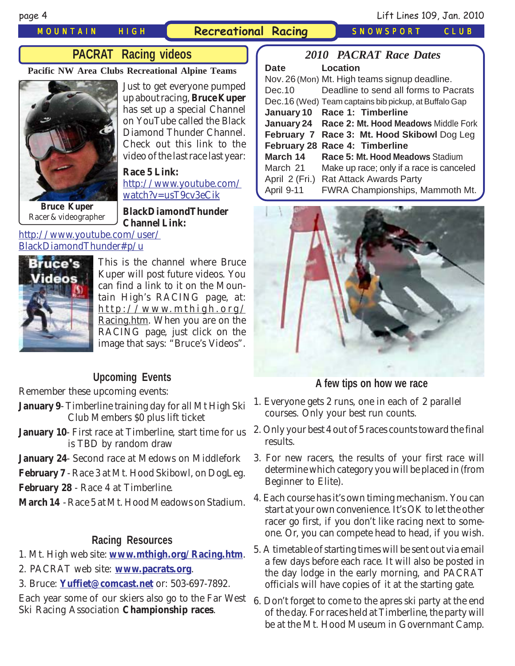*MOUNTAIN HIGH* **Recreational Racing** *SNOWSPORT CLUB*

## **PACRAT Racing videos**

**Pacific NW Area Clubs Recreational Alpine Teams**



Just to get everyone pumped up about racing, **Bruce Kuper** has set up a special Channel on YouTube called the Black Diamond Thunder Channel. Check out this link to the video of the last race last year:

**Race 5 Link:** [http://www.youtube.com/](http://www.youtube.com/watch?v=usT9cv3eCik ) [watch?v=usT9cv3eCik](http://www.youtube.com/watch?v=usT9cv3eCik ) 

**Bruce Kuper** Racer & videographer

**BlackDiamondThunder Channel Link:**

#### [http://www.youtube.com/user/](http://www.youtube.com/user/BlackDiamondThunder#p/u ) [BlackDiamondThunder#p/u](http://www.youtube.com/user/BlackDiamondThunder#p/u )



This is the channel where Bruce Kuper will post future videos. You can find a link to it on the Mountain High's RACING page, at: http://www.mthigh.org/ Racing.htm. When you are on the RACING page, just click on the image that says: "Bruce's Videos".

### **Upcoming Events**

Remember these upcoming events:

- **January 9** Timberline training day for all Mt High Ski Club Members \$0 plus lift ticket
- **January 10** First race at Timberline, start time for us is TBD by random draw
- **January 24** Second race at Medows on Middlefork
- **February 7** Race 3 at Mt. Hood Skibowl, on DogLeg.
- **February 28** Race 4 at Timberline.
- **March 14** Race 5 at Mt. Hood Meadows on Stadium.

#### **Racing Resources**

- 1. Mt. High web site: **[www.mthigh.org/Racing.htm](http://www.mthigh.org/Racing.htm)**.
- 2. PACRAT web site: **[www.pacrats.org](http://www.pacrats.org/)**.
- 3. Bruce: **[Yuffiet@comcast.net](mailto:Yuffiet@comcast.net)** or: 503-697-7892.

Each year some of our skiers also go to the Far West Ski Racing Association **Championship races**.

| <b>2010 PACRAT Race Dates</b> |                                                       |  |  |  |
|-------------------------------|-------------------------------------------------------|--|--|--|
| <b>Date</b>                   | Location                                              |  |  |  |
|                               | Nov. 26 (Mon) Mt. High teams signup deadline.         |  |  |  |
| Dec. 10                       | Deadline to send all forms to Pacrats                 |  |  |  |
|                               | Dec.16 (Wed) Team captains bib pickup, at Buffalo Gap |  |  |  |
|                               | January 10 Race 1: Timberline                         |  |  |  |
| January 24                    | Race 2: Mt. Hood Meadows Middle Fork                  |  |  |  |
| February 7                    | Race 3: Mt. Hood Skibowl Dog Leg                      |  |  |  |
| <b>February 28</b>            | Race 4: Timberline                                    |  |  |  |
| March 14                      | Race 5: Mt. Hood Meadows Stadium                      |  |  |  |
| March 21                      | Make up race; only if a race is canceled              |  |  |  |
|                               | April 2 (Fri.) Rat Attack Awards Party                |  |  |  |
| April 9-11                    | <b>FWRA Championships, Mammoth Mt.</b>                |  |  |  |



#### **A few tips on how we race**

- 1. Everyone gets 2 runs, one in each of 2 parallel courses. Only your best run counts.
- 2. Only your best 4 out of 5 races counts toward the final results.
- 3. For new racers, the results of your first race will determine which category you will be placed in (from Beginner to Elite).
- 4. Each course has it's own timing mechanism. You can start at your own convenience. It's OK to let the other racer go first, if you don't like racing next to someone. Or, you can compete head to head, if you wish.
- 5. A timetable of starting times will be sent out via email a few days before each race. It will also be posted in the day lodge in the early morning, and PACRAT officials will have copies of it at the starting gate.
- 6. Don't forget to come to the apres ski party at the end of the day. For races held at Timberline, the party will be at the Mt. Hood Museum in Governmant Camp.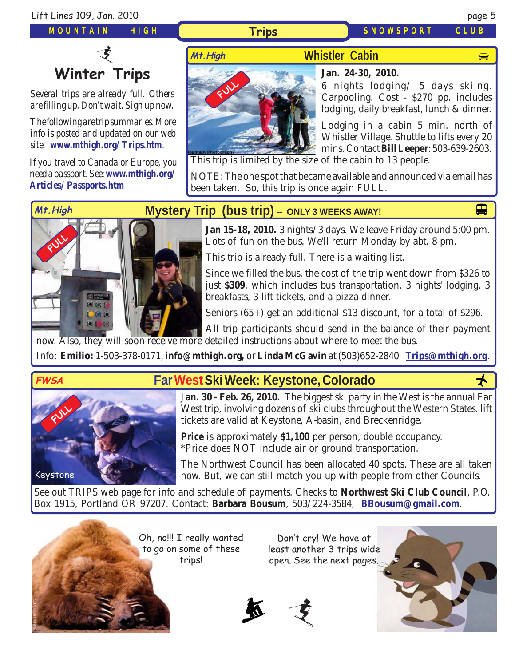

# **Winter Trips**

*Several trips are already full. Others are filling up. Don't wait. Sign up now.*

*The following are trip summaries. More info is posted and updated on our web site: [www.mthigh.org/Trips.htm](http://www.mthigh.org/Trips.htm).*

*If you travel to Canada or Europe, you need a passport. See: [www.mthigh.org/](http://www.mthigh.org/Articles/Passports.htm) [Articles/Passports.htm](http://www.mthigh.org/Articles/Passports.htm)*

> 图 图 图 **DB** 6



#### **[Jan. 24-30, 2010.](http://beavercreek.snow.com/winterhome.asp)**

[6 nights lodging/ 5 days](http://beavercreek.snow.com/winterhome.asp) skiing. Carpooling. Cost - \$270 pp. includes lodging, daily breakfast, lunch & dinner.

Lodging in a cabin 5 min. north of Whistler Village. Shuttle to lifts every 20 mins. Contact **Bill Leeper**: 503-639-2603.

This trip is limited by the size of the cabin to 13 people.

NOTE: The one spot that became available and announced via email has been taken. So, this trip is once again FULL.

**FULL** 

# **Mt.High M[ystery Trip \(bus trip\) -](http://www.crystalmt.com/)- ONLY 3 WEEKS AWAY!**

**Jan 15-18, 2010.** 3 nights/3 days. We leave Friday around 5:00 pm. Lots of fun on the bus. We'll return Monday by abt. 8 pm.

This trip is already full. There is a waiting list.

Since we filled the bus, the cost of the trip went down from \$326 to just **\$309**, which includes bus transportation, 3 nights' lodging, 3 breakfasts, 3 lift tickets, and a pizza dinner.

Seniors (65+) get an additional \$13 discount, for a total of \$296.

 $\overline{G}$ All trip participants should send in the balance of their payment now. Also, they will soon receive more detailed instructions about where to meet the bus.

Info: **Emilio:** 1-503-378-0171, **[info@mthigh.org](mailto:info@MtHigh.org),** or **Linda McGavin** at (503)652-2840 **[Trips@mthigh.org](mailto:Trips@mthigh.org)**.



Keystone

**FULL** 

## **FWSA Far West Ski Week: Keystone, Colorado**

J**an. 30 - Feb. 26, 2010.** The biggest ski party in the West is the annual Far West trip, involving dozens of ski clubs throughout the Western States. lift tickets are valid at Keystone, A-basin, and Breckenridge.

**Price** is approximately **\$1,100** per person, double occupancy. \*Price does NOT include air or ground transportation.

The Northwest Council has been allocated 40 spots. These are all taken now. But, we can still match you up with people from other Councils.

See out TRIPS web page for info and schedule of payments. Checks to **Northwest Ski Club Council**, P.O. Box 1915, Portland OR 97207. Contact: **Barbara Bousum**, 503/224-3584, **[BBousum@gmail.com](mailto:BBousum@gmail.com)**.

> Oh, no!!! I really wanted to go on some of these trips!

Don't cry! We have at least another 3 trips wide open. See the next pages.



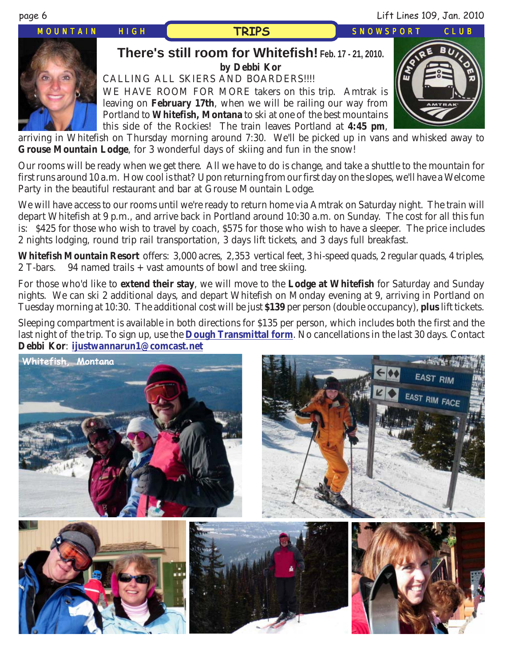page 6 Lift Lines 109, Jan. 2010

*MOUNTAIN HIGH SNOWSPORT CLUB*

## **TRIPS**



#### **There's still room for Whitefish[! Feb. 17 - 21, 2010.](http://beavercreek.snow.com/winterhome.asp) [by Debbi Kor](http://beavercreek.snow.com/winterhome.asp)** CALLING ALL SKIERS AND BOARDERS!!!! WE HAVE ROOM FOR MORE takers on this trip. Amtrak is leaving on **February 17th**, when we will be railing our way from Portland to **Whitefish, Montana** to ski at one of the best mountains this side of the Rockies! The train leaves Portland at **4:45 pm**,



arriving in Whitefish on Thursday morning around 7:30. We'll be picked up in vans and whisked away to **Grouse Mountain Lodge**, for 3 wonderful days of skiing and fun in the snow!

Our rooms will be ready when we get there. All we have to do is change, and take a shuttle to the mountain for first runs around 10 a.m. How cool is that? Upon returning from our first day on the slopes, we'll have a Welcome Party in the beautiful restaurant and bar at Grouse Mountain Lodge.

We will have access to our rooms until we're ready to return home via Amtrak on Saturday night. The train will depart Whitefish at 9 p.m., and arrive back in Portland around 10:30 a.m. on Sunday. The cost for all this fun is: \$425 for those who wish to travel by coach, \$575 for those who wish to have a sleeper. The price includes 2 nights lodging, round trip rail transportation, 3 days lift tickets, and 3 days full breakfast.

**Whitefish Mountain Resort** offers: 3,000 acres, 2,353 vertical feet, 3 hi-speed quads, 2 regular quads, 4 triples, 2 T-bars. 94 named trails + vast amounts of bowl and tree skiing.

For those who'd like to **extend their stay**, we will move to the **Lodge at Whitefish** for Saturday and Sunday nights. We can ski 2 additional days, and depart Whitefish on Monday evening at 9, arriving in Portland on Tuesday morning at 10:30. The additional cost will be just **\$139** per person (double occupancy), **plus** lift tickets.

Sleeping compartment is available in both directions for \$135 per person, which includes both the first and the last night of the trip. To sign up, use the **[Dough Transmittal form](http://www.mthigh.org/Documents/DOUGH%20TRANSMITTAL%20FORM.pdf)**. No cancellations in the last 30 days. Contact **Debbi Kor**: **[ijustwannarun1@comcast.net](mailto:Ijustwannarun1@comcast.net)**

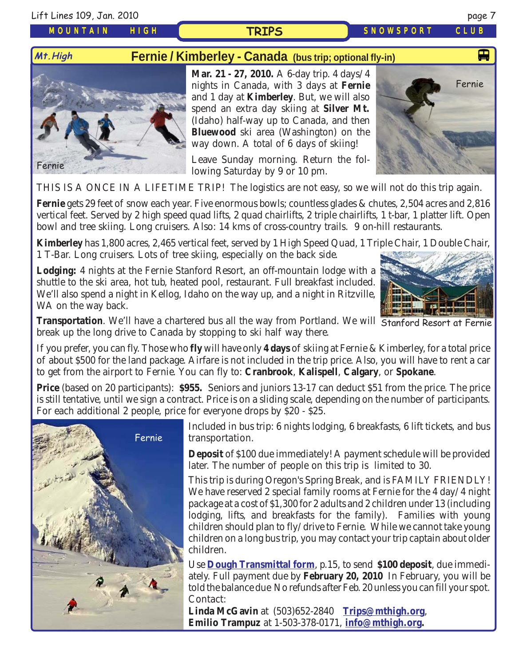Lift Lines 109, Jan. 2010 page 7

**Mt.High**

#### *MOUNTAIN HIGH*

## **Fernie / Kimberley - Canada [\(bus trip; optional fly-in\)](http://www.crystalmt.com/)**

**TRIPS**

[Fernie](http://www.crystalmt.com/)

**Mar. 21 - 27, 2010.** A 6-day trip. 4 days/4 nights in Canada, with 3 days at **Fernie** and 1 day at **Kimberley**. But, we will also spend an extra day skiing at **Silver Mt.** (Idaho) half-way up to Canada, and then **Bluewood** ski area (Washington) on the way down. A total of 6 days of skiing!

Leave Sunday morning. Return the following Saturday by 9 or 10 pm.

THIS IS A ONCE IN A LIFETIME TRIP! The logistics are not easy, so we will not do this trip again.

**Fernie** gets 29 feet of snow each year. Five enormous bowls; countless glades & chutes, 2,504 acres and 2,816 vertical feet. Served by 2 high speed quad lifts, 2 quad chairlifts, 2 triple chairlifts, 1 t-bar, 1 platter lift. Open bowl and tree skiing. Long cruisers. Also: 14 kms of cross-country trails. 9 on-hill restaurants.

**Kimberley** has 1,800 acres, 2,465 vertical feet, served by 1 High Speed Quad, 1 Triple Chair, 1 Double Chair, 1 T-Bar. Long cruisers. Lots of tree skiing, especially on the back side.

**Lodging:** 4 nights at the Fernie Stanford Resort, an off-mountain lodge with a shuttle to the ski area, hot tub, heated pool, restaurant. Full breakfast included. We'll also spend a night in Kellog, Idaho on the way up, and a night in Ritzville, WA on the way back.

**Transportation**. We'll have a chartered bus all the way from Portland. We will Stanford Resort at Fernie break up the long drive to Canada by stopping to ski half way there.

If you prefer, you can fly. Those who **fly** will have only **4 days** of skiing at Fernie & Kimberley, for a total price of about \$500 for the land package. Airfare is not included in the trip price. Also, you will have to rent a car to get from the airport to Fernie. You can fly to: **Cranbrook**, **Kalispell**, **Calgary**, or **Spokane**.

**Price** (based on 20 participants): **\$955.** Seniors and juniors 13-17 can deduct \$51 from the price. The price is still tentative, until we sign a contract. Price is on a sliding scale, depending on the number of participants. For each additional 2 people, price for everyone drops by \$20 - \$25.



Included in bus trip: 6 nights lodging, 6 breakfasts, 6 lift tickets, and bus transportation.

**Deposit** of \$100 due immediately! A payment schedule will be provided later. The number of people on this trip is limited to 30.

This trip is during Oregon's Spring Break, and is FAMILY FRIENDLY! We have reserved 2 special family rooms at Fernie for the 4 day/4 night package at a cost of \$1,300 for 2 adults and 2 children under 13 (including lodging, lifts, and breakfasts for the family). Families with young children should plan to fly/drive to Fernie. While we cannot take young children on a long bus trip, you may contact your trip captain about older children.

Use **[Dough Transmittal form](http://www.mthigh.org/Documents/DOUGH%20TRANSMITTAL%20FORM.pdf)**, p.15, to send **\$100 deposit**, due immediately. Full payment due by **February 20, 2010** In February, you will be told the balance due No refunds after Feb. 20 unless you can fill your spot. Contact:

**Linda McGavin** at (503)652-2840 **[Trips@mthigh.org](mailto:Trips@mthigh.org)**, **Emilio Trampuz** at 1-503-378-0171, **[info@mthigh.org.](mailto:info@MtHigh.org)**





*SNOWSPORT CLUB*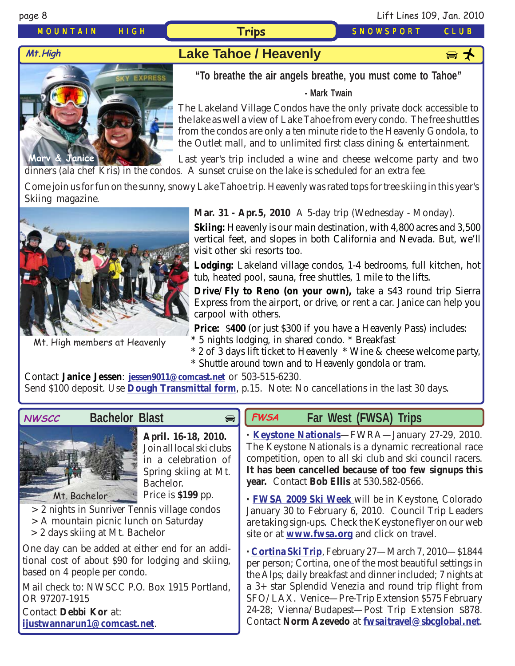*MOUNTAIN HIGH* **Trips** *SNOWSPORT CLUB*

# **Mt. High Lake Tahoe / Heavenly**

**Marv & Janice**

**"To breathe the air angels breathe, you must come to Tahoe"**

#### **- Mark Twain**

The Lakeland Village Condos have the only private dock accessible to the lake as well a view of Lake Tahoe from every condo. The free shuttles from the condos are only a ten minute ride to the Heavenly Gondola, to the Outlet mall, and to unlimited first class dining & entertainment.

Last year's trip included a wine and cheese welcome party and two dinners (ala chef Kris) in the condos. A sunset cruise on the lake is scheduled for an extra fee.

Come join us for fun on the sunny, snowy Lake Tahoe trip. Heavenly was rated tops for tree skiing in this year's Skiing magazine.



Mt. High members at Heavenly

**Mar. 31 - Apr.5, 2010** A 5-day trip (Wednesday - Monday).

**Skiing:** Heavenly is our main destination, with 4,800 acres and 3,500 vertical feet, and slopes in both California and Nevada. But, we'll visit other ski resorts too.

**Lodging:** Lakeland village condos, 1-4 bedrooms, full kitchen, hot tub, heated pool, sauna, free shuttles, 1 mile to the lifts.

**Drive/Fly to Reno (on your own),** take a \$43 round trip Sierra Express from the airport, or drive, or rent a car. Janice can help you carpool with others.

**Price:** \$**400** (or just \$300 if you have a Heavenly Pass) includes: \* 5 nights lodging, in shared condo. \* Breakfast

\* 2 of 3 days lift ticket to Heavenly \* Wine & cheese welcome party, \* Shuttle around town and to Heavenly gondola or tram.

Contact **Janice Jessen**: **[jessen9011@comcast.net](mailto:jessen9011@comcast.net)** or 503-515-6230. Send \$100 deposit. Use **[Dough Transmittal form](http://www.mthigh.org/Documents/DOUGH%20TRANSMITTAL%20FORM.pdf)**, p.15. Note: No cancellations in the last 30 days.

 $\bigoplus$ 



### **Bachelor Blast**



**April. 16-18, 2010.** Join all local ski clubs in a celebration of Spring skiing at Mt. Bachelor. Price is **\$199** pp.

- > 2 nights in Sunriver Tennis village condos
- > A mountain picnic lunch on Saturday
- > 2 days skiing at Mt. Bachelor

One day can be added at either end for an additional cost of about \$90 for lodging and skiing, based on 4 people per condo.

Mail check to: NWSCC P.O. Box 1915 Portland, OR 97207-1915 Contact **Debbi Kor** at:

**[ijustwannarun1@comcast.net](mailto:Ijustwannarun1@comcast.net)**.

#### **Far West (FWSA) Trips FWSA**

**· [Keystone Nationals](http://www.keystonenationals.com/)**—FWRA—January 27-29, 2010. The Keystone Nationals is a dynamic recreational race competition, open to all ski club and ski council racers. **It has been cancelled because of too few signups this year.** Contact **Bob Ellis** at 530.582-0566.

**· [FWSA 2009 Ski Week](http://www.mthigh.org/Trips.htm#FWSA_Ski_Week_2010)** will be in Keystone, Colorado January 30 to February 6, 2010. Council Trip Leaders are taking sign-ups. Check the Keystone flyer on our web site or at **[www.fwsa.org](http://www.fwsa.org/)** and click on travel.

**· [Cortina Ski Trip](http://www.mthigh.org/Trips.htm#Cortina)**, February 27—March 7, 2010—\$1844 per person; Cortina, one of the most beautiful settings in the Alps; daily breakfast and dinner included; 7 nights at a 3+ star Splendid Venezia and round trip flight from SFO/LAX. Venice—Pre-Trip Extension \$575 February 24-28; Vienna/Budapest—Post Trip Extension \$878. Contact **Norm Azevedo** at **[fwsaitravel@sbcglobal.net](mailto:fwsaitravel@sbcglobal.net)**.

page 8 Lift Lines 109, Jan. 2010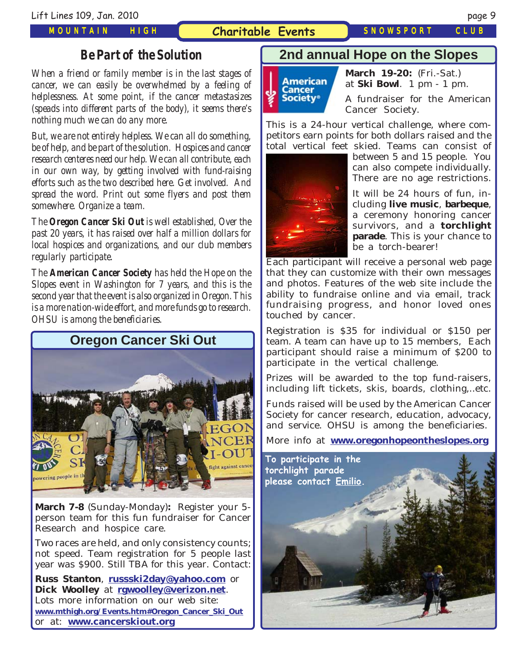#### **Charitable Events** *SNOWSPORT CLUB*

### *Be Part of the Solution*

*When a friend or family member is in the last stages of cancer, we can easily be overwhelmed by a feeling of helplessness. At some point, if the cancer metastasizes (speads into different parts of the body), it seems there's nothing much we can do any more.*

*But, we are not entirely helpless. We can all do something, be of help, and be part of the solution. Hospices and cancer research centeres need our help. We can all contribute, each in our own way, by getting involved with fund-raising efforts such as the two described here. Get involved. And spread the word. Print out some flyers and post them somewhere. Organize a team.*

*The Oregon Cancer Ski Out is well established, Over the past 20 years, it has raised over half a million dollars for local hospices and organizations, and our club members regularly participate.*

*The American Cancer Society has held the Hope on the Slopes event in Washington for 7 years, and this is the second year that the event is also organized in Oregon. This is a more nation-wide effort, and more funds go to research. OHSU is among the beneficiaries.*



**March 7-8** (Sunday-Monday)**:** Register your 5 person team for this fun fundraiser for Cancer Research and hospice care.

Two races are held, and only consistency counts; not speed. Team registration for 5 people last year was \$900. Still TBA for this year. Contact:

**Russ Stanton**, **[russski2day@yahoo.com](mailto:russski2day@yahoo.com)** or **Dick Woolley** at **[rgwoolley@verizon.net](mailto:rgwoolley@verizon.net)**. Lots more information on our web site: **[www.mthigh.org/Events.htm#Oregon\\_Cancer\\_Ski\\_Out](http://www.mthigh.org/Events.htm#Oregon_Cancer_Ski_Out)** or at: **[www.cancerskiout.org](http://www.cancerskiout.org/)**

## **2nd annual Hope on the Slopes**



**March 19-20:** (Fri.-Sat.) at **Ski Bowl**. 1 pm - 1 pm.

A fundraiser for the American Cancer Society.

This is a 24-hour vertical challenge, where competitors earn points for both dollars raised and the total vertical feet skied. Teams can consist of



between 5 and 15 people. You can also compete individually. There are no age restrictions.

It will be 24 hours of fun, including **live music**, **barbeque**, a ceremony honoring cancer survivors, and a **torchlight parade**. This is your chance to be a torch-bearer!

Each participant will receive a personal web page that they can customize with their own messages and photos. Features of the web site include the ability to fundraise online and via email, track fundraising progress, and honor loved ones touched by cancer.

Registration is \$35 for individual or \$150 per team. A team can have up to 15 members, Each participant should raise a minimum of \$200 to participate in the vertical challenge.

Prizes will be awarded to the top fund-raisers, including lift tickets, skis, boards, clothing,..etc.

Funds raised will be used by the American Cancer Society for cancer research, education, advocacy, and service. OHSU is among the beneficiaries.

More info at **[www.oregonhopeontheslopes.org](http://www.oregonhopeontheslopes.org/)**

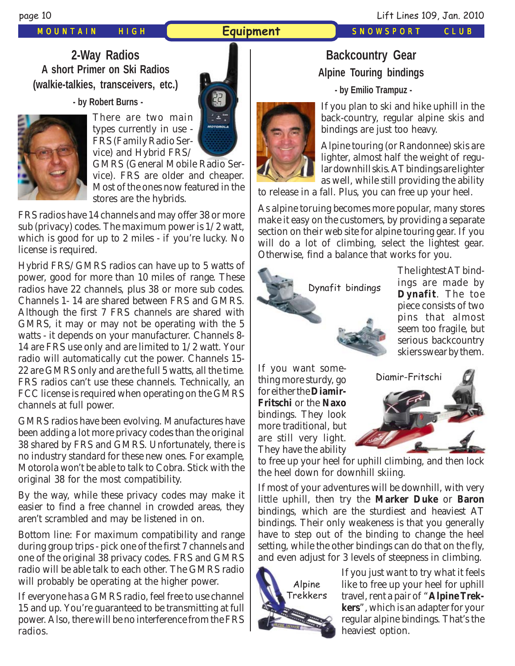#### *MOUNTAIN HIGH* **Equipment** *SNOWSPORT CLUB*

page 10 Lift Lines 109, Jan. 2010

**2-Way Radios A short Primer on Ski Radios (walkie-talkies, transceivers, etc.)**

 **- by Robert Burns -**



There are two main types currently in use - FRS (Family Radio Service) and Hybrid FRS/

GMRS (General Mobile Radio Service). FRS are older and cheaper. Most of the ones now featured in the stores are the hybrids.

FRS radios have 14 channels and may offer 38 or more sub (privacy) codes. The maximum power is 1/2 watt, which is good for up to 2 miles - if you're lucky. No license is required.

Hybrid FRS/GMRS radios can have up to 5 watts of power, good for more than 10 miles of range. These radios have 22 channels, plus 38 or more sub codes. Channels 1- 14 are shared between FRS and GMRS. Although the first 7 FRS channels are shared with GMRS, it may or may not be operating with the 5 watts - it depends on your manufacturer. Channels 8- 14 are FRS use only and are limited to 1/2 watt. Your radio will automatically cut the power. Channels 15- 22 are GMRS only and are the full 5 watts, all the time. FRS radios can't use these channels. Technically, an FCC license is required when operating on the GMRS channels at full power.

GMRS radios have been evolving. Manufactures have been adding a lot more privacy codes than the original 38 shared by FRS and GMRS. Unfortunately, there is no industry standard for these new ones. For example, Motorola won't be able to talk to Cobra. Stick with the original 38 for the most compatibility.

By the way, while these privacy codes may make it easier to find a free channel in crowded areas, they aren't scrambled and may be listened in on.

Bottom line: For maximum compatibility and range during group trips - pick one of the first 7 channels and one of the original 38 privacy codes. FRS and GMRS radio will be able talk to each other. The GMRS radio will probably be operating at the higher power.

If everyone has a GMRS radio, feel free to use channel 15 and up. You're guaranteed to be transmitting at full power. Also, there will be no interference from the FRS radios.

# **Backcountry Gear Alpine Touring bindings**

 **- by Emilio Trampuz -**

If you plan to ski and hike uphill in the back-country, regular alpine skis and bindings are just too heavy.

Alpine touring (or Randonnee) skis are lighter, almost half the weight of regular downhill skis. AT bindings are lighter as well, while still providing the ability

to release in a fall. Plus, you can free up your heel.

As alpine toruing becomes more popular, many stores make it easy on the customers, by providing a separate section on their web site for alpine touring gear. If you will do a lot of climbing, select the lightest gear. Otherwise, find a balance that works for you.



The lightest AT bindings are made by **Dynafit**. The toe piece consists of two pins that almost seem too fragile, but serious backcountry skiers swear by them.

If you want something more sturdy, go for either the **Diamir-Fritschi** or the **Naxo** bindings. They look more traditional, but are still very light. They have the ability



to free up your heel for uphill climbing, and then lock the heel down for downhill skiing.

If most of your adventures will be downhill, with very little uphill, then try the **Marker Duke** or **Baron** bindings, which are the sturdiest and heaviest AT bindings. Their only weakeness is that you generally have to step out of the binding to change the heel setting, while the other bindings can do that on the fly, and even adjust for 3 levels of steepness in climbing.



If you just want to try what it feels like to free up your heel for uphill travel, rent a pair of "**Alpine Trekkers**", which is an adapter for your regular alpine bindings. That's the heaviest option.



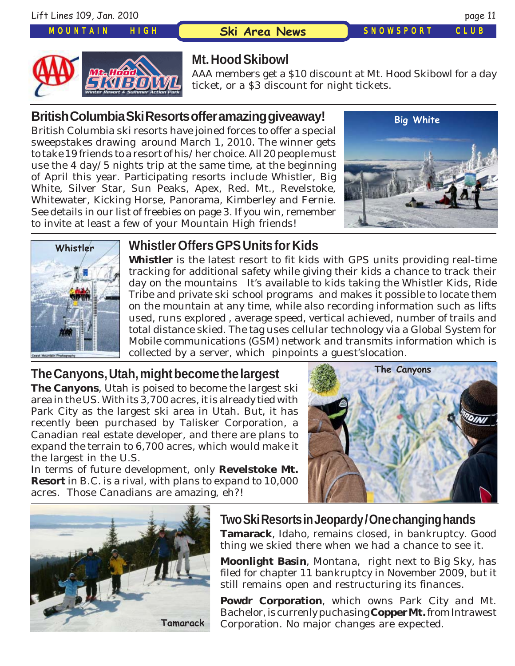**Ski Area News** *SNOWSPORT CLUB*



## **Mt. Hood Skibowl**

AAA members get a \$10 discount at Mt. Hood Skibowl for a day ticket, or a \$3 discount for night tickets.

## **British Columbia Ski Resorts offer amazing giveaway!**

British Columbia ski resorts have joined forces to offer a special sweepstakes drawing around March 1, 2010. The winner gets to take 19 friends to a resort of his/her choice. All 20 people must use the 4 day/5 nights trip at the same time, at the beginning of April this year. Participating resorts include Whistler, Big White, Silver Star, Sun Peaks, Apex, Red. Mt., Revelstoke, Whitewater, Kicking Horse, Panorama, Kimberley and Fernie. See details in our list of freebies on page 3. If you win, remember to invite at least a few of your Mountain High friends!





## **Whistler Offers GPS Units for Kids**

**Whistler** is the latest resort to fit kids with GPS units providing real-time tracking for additional safety while giving their kids a chance to track their day on the mountains It's available to kids taking the Whistler Kids, Ride Tribe and private ski school programs and makes it possible to locate them on the mountain at any time, while also recording information such as lifts used, runs explored , average speed, vertical achieved, number of trails and total distance skied. The tag uses cellular technology via a Global System for Mobile communications (GSM) network and transmits information which is collected by a server, which pinpoints a guest'slocation.

## **The Canyons, Utah, might become the largest**

**The Canyons**, Utah is poised to become the largest ski area in the US. With its 3,700 acres, it is already tied with Park City as the largest ski area in Utah. But, it has recently been purchased by Talisker Corporation, a Canadian real estate developer, and there are plans to expand the terrain to 6,700 acres, which would make it the largest in the U.S.

In terms of future development, only **Revelstoke Mt. Resort** in B.C. is a rival, with plans to expand to 10,000 acres. Those Canadians are amazing, eh?!





### **Two Ski Resorts in Jeopardy / One changing hands**

**Tamarack**, Idaho, remains closed, in bankruptcy. Good thing we skied there when we had a chance to see it.

**Moonlight Basin**, Montana, right next to Big Sky, has filed for chapter 11 bankruptcy in November 2009, but it still remains open and restructuring its finances.

**Powdr Corporation**, which owns Park City and Mt. Bachelor, is currenly puchasing **Copper Mt.** from Intrawest **Tamarack** Corporation. No major changes are expected.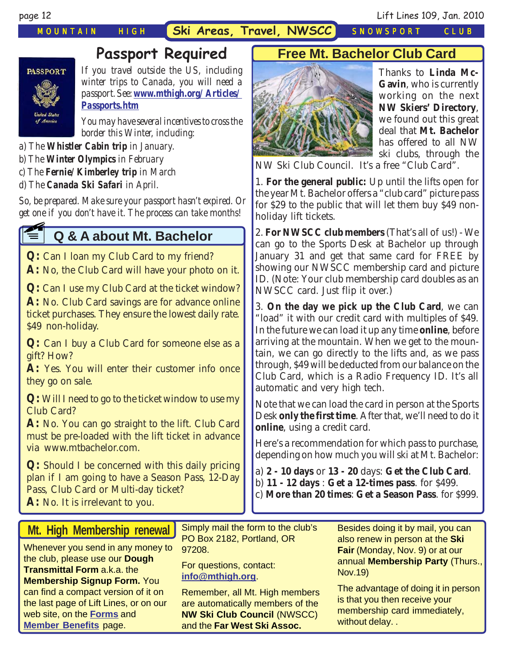page 12 Lift Lines 109, Jan. 2010

# **Passport Required**



*If you travel outside the US, including winter trips to Canada, you will need a passport. See: [www.mthigh.org/Articles/](http://www.mthigh.org/Articles/Passports.htm) [Passports.htm](http://www.mthigh.org/Articles/Passports.htm)*

*You may have several incentives to cross the border this Winter, including:*

*a) The Whistler Cabin trip in January.*

- *b) The Winter Olympics in February*
- *c) The Fernie/Kimberley trip in March*
- *d) The Canada Ski Safari in April.*

*So, be prepared. Make sure your passport hasn't expired. Or get one if you don't have it. The process can take months!* **E1** 

# **Q & A about Mt. Bachelor**

**Q:** Can I loan my Club Card to my friend? **A:** No, the Club Card will have your photo on it.

**Q:** Can I use my Club Card at the ticket window? **A:** No. Club Card savings are for advance online ticket purchases. They ensure the lowest daily rate. \$49 non-holiday.

**Q:** Can I buy a Club Card for someone else as a gift? How?

A: Yes. You will enter their customer info once they go on sale.

**Q:** Will I need to go to the ticket window to use my Club Card?

**A:** No. You can go straight to the lift. Club Card must be pre-loaded with the lift ticket in advance via www.mtbachelor.com.

**Q:** Should I be concerned with this daily pricing plan if I am going to have a Season Pass, 12-Day Pass, Club Card or Multi-day ticket? **A:** No. It is irrelevant to you.

## **Free Mt. Bachelor Club Card**



Thanks to **Linda Mc-Gavin**, who is currently working on the next **NW Skiers' Directory**, we found out this great deal that **Mt. Bachelor** has offered to all NW ski clubs, through the

NW Ski Club Council. It's a free "Club Card".

1. **For the general public:** Up until the lifts open for the year Mt. Bachelor offers a "club card" picture pass for \$29 to the public that will let them buy \$49 nonholiday lift tickets.

2. **For NWSCC club members** (That's all of us!) - We can go to the Sports Desk at Bachelor up through January 31 and get that same card for FREE by showing our NWSCC membership card and picture ID. (Note: Your club membership card doubles as an NWSCC card. Just flip it over.)

3. **On the day we pick up the Club Card**, we can "load" it with our credit card with multiples of \$49. In the future we can load it up any time **online**, before arriving at the mountain. When we get to the mountain, we can go directly to the lifts and, as we pass through, \$49 will be deducted from our balance on the Club Card, which is a Radio Frequency ID. It's all automatic and very high tech.

Note that we can load the card in person at the Sports Desk **only the first time**. After that, we'll need to do it **online**, using a credit card.

Here's a recommendation for which pass to purchase, depending on how much you will ski at Mt. Bachelor:

a) **2 - 10 days** or **13 - 20** days: **Get the Club Card**. b) **11 - 12 days** : **Get a 12-times pass**. for \$499. c) **More than 20 times**: **Get a Season Pass**. for \$999.

## **Mt. High Membership renewal**

Whenever you send in any money to the club, please use our **Dough Transmittal Form** a.k.a. the **Membership Signup Form.** You can find a compact version of it on the last page of Lift Lines, or on our web site, on the **[Forms](http://www.mthigh.org/Forms.htm)** and **[Member Benefits](http://www.mthigh.org/Membership.htm)** page.

Simply mail the form to the club's PO Box 2182, Portland, OR 97208.

For questions, contact: **[info@mthigh.org](mailto:info@MtHigh.org)**.

Remember, all Mt. High members are automatically members of the **NW Ski Club Council** (NWSCC) and the **Far West Ski Assoc.**

Besides doing it by mail, you can also renew in person at the **Ski Fair** (Monday, Nov. 9) or at our annual **Membership Party** (Thurs., Nov.19)

The advantage of doing it in person is that you then receive your membership card immediately, without delay. .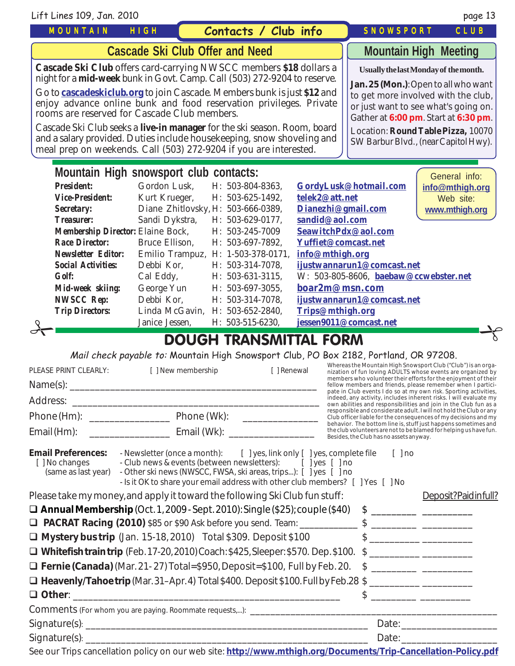| Lift Lines 109, Jan. 2010                                                                                                                                                                                                                                                                                                                                                                                                                                                                                                                                                                                                                                                                                                                                                                                                                                                                                                                                                                                                                                                                                                                                                    |                                        |  |                                                                                                                                                                                                                                                                                            |  |                                                                                                                                                                                                                                                                                                                                                                                                                                                                                                                                                                                                                                                        | page 13                                                                                                                                                                                                                                                                                                                                                                                                                                                                                                                                                                                                                                                                                                                                                    |
|------------------------------------------------------------------------------------------------------------------------------------------------------------------------------------------------------------------------------------------------------------------------------------------------------------------------------------------------------------------------------------------------------------------------------------------------------------------------------------------------------------------------------------------------------------------------------------------------------------------------------------------------------------------------------------------------------------------------------------------------------------------------------------------------------------------------------------------------------------------------------------------------------------------------------------------------------------------------------------------------------------------------------------------------------------------------------------------------------------------------------------------------------------------------------|----------------------------------------|--|--------------------------------------------------------------------------------------------------------------------------------------------------------------------------------------------------------------------------------------------------------------------------------------------|--|--------------------------------------------------------------------------------------------------------------------------------------------------------------------------------------------------------------------------------------------------------------------------------------------------------------------------------------------------------------------------------------------------------------------------------------------------------------------------------------------------------------------------------------------------------------------------------------------------------------------------------------------------------|------------------------------------------------------------------------------------------------------------------------------------------------------------------------------------------------------------------------------------------------------------------------------------------------------------------------------------------------------------------------------------------------------------------------------------------------------------------------------------------------------------------------------------------------------------------------------------------------------------------------------------------------------------------------------------------------------------------------------------------------------------|
| <b>MOUNTAIN</b>                                                                                                                                                                                                                                                                                                                                                                                                                                                                                                                                                                                                                                                                                                                                                                                                                                                                                                                                                                                                                                                                                                                                                              | HIGH                                   |  | Contacts / Club info                                                                                                                                                                                                                                                                       |  | <b>SNOWSPORT</b>                                                                                                                                                                                                                                                                                                                                                                                                                                                                                                                                                                                                                                       | CLUB                                                                                                                                                                                                                                                                                                                                                                                                                                                                                                                                                                                                                                                                                                                                                       |
|                                                                                                                                                                                                                                                                                                                                                                                                                                                                                                                                                                                                                                                                                                                                                                                                                                                                                                                                                                                                                                                                                                                                                                              | <b>Cascade Ski Club Offer and Need</b> |  |                                                                                                                                                                                                                                                                                            |  |                                                                                                                                                                                                                                                                                                                                                                                                                                                                                                                                                                                                                                                        | <b>Mountain High Meeting</b>                                                                                                                                                                                                                                                                                                                                                                                                                                                                                                                                                                                                                                                                                                                               |
| <b>Cascade Ski Club</b> offers card-carrying NWSCC members \$18 dollars a<br>night for a mid-week bunk in Govt. Camp. Call (503) 272-9204 to reserve.<br>Go to <b>cascadeskiclub.org</b> to join Cascade. Members bunk is just \$12 and<br>enjoy advance online bunk and food reservation privileges. Private<br>rooms are reserved for Cascade Club members.<br>Cascade Ski Club seeks a <b>live-in manager</b> for the ski season. Room, board<br>and a salary provided. Duties include housekeeping, snow shoveling and<br>meal prep on weekends. Call (503) 272-9204 if you are interested.                                                                                                                                                                                                                                                                                                                                                                                                                                                                                                                                                                              |                                        |  |                                                                                                                                                                                                                                                                                            |  |                                                                                                                                                                                                                                                                                                                                                                                                                                                                                                                                                                                                                                                        | Usually the last Monday of the month.<br>Jan. 25 (Mon.): Open to all who want<br>to get more involved with the club,<br>or just want to see what's going on.<br>Gather at 6:00 pm. Start at 6:30 pm.<br>Location: Round Table Pizza, 10070<br>SW Barbur Blvd., (near Capitol Hwy).                                                                                                                                                                                                                                                                                                                                                                                                                                                                         |
| Mountain High snowsport club contacts:<br>General info:<br><b>President:</b><br>Gordon Lusk,<br>H: 503-804-8363.<br>GordyLusk@hotmail.com<br>H: 503-625-1492,<br>telek2@att.net<br><b>Vice-President:</b><br>Kurt Krueger,<br>Web site:<br>Diane Zhitlovsky, H: 503-666-0389,<br>Dianezhi@gmail.com<br><b>Secretary:</b><br>Sandi Dykstra,<br>sandid@aol.com<br><b>Treasurer:</b><br>H: 503-629-0177,<br><b>Membership Director: Elaine Bock,</b><br>SeawitchPdx@aol.com<br>H: 503-245-7009<br>Bruce Ellison,<br>H: 503-697-7892,<br><b>Race Director:</b><br>Yuffiet@comcast.net<br><b>Newsletter Editor:</b><br>Emilio Trampuz, H: 1-503-378-0171,<br>info@mthigh.org<br>ijustwannarun1@comcast.net<br><b>Social Activities:</b><br>Debbi Kor,<br>H: 503-314-7078,<br>W: 503-805-8606, baebaw@ccwebster.net<br><b>Golf:</b><br>Cal Eddy,<br>H: 503-631-3115,<br>boar2m@msn.com<br>George Yun<br>Mid-week skiing:<br>H: 503-697-3055,<br><b>NWSCC Rep:</b><br>Debbi Kor.<br>H: 503-314-7078,<br>ijustwannarun1@comcast.net<br><b>Trip Directors:</b><br>Linda McGavin, H: 503-652-2840,<br>Trips@mthigh.org<br>jessen9011@comcast.net<br>Janice Jessen,<br>H: 503-515-6230, |                                        |  |                                                                                                                                                                                                                                                                                            |  | info@mthigh.org<br>www.mthigh.org                                                                                                                                                                                                                                                                                                                                                                                                                                                                                                                                                                                                                      |                                                                                                                                                                                                                                                                                                                                                                                                                                                                                                                                                                                                                                                                                                                                                            |
| PLEASE PRINT CLEARLY:<br>Address:<br>Email (Hm):                                                                                                                                                                                                                                                                                                                                                                                                                                                                                                                                                                                                                                                                                                                                                                                                                                                                                                                                                                                                                                                                                                                             |                                        |  | <b>DOUGH TRANSMITTAL FORM</b><br>[ ] New membership [ ] Renewal                                                                                                                                                                                                                            |  | Mail check payable to: Mountain High Snowsport Club, PO Box 2182, Portland, OR 97208.<br>Besides, the Club has no assets anyway.                                                                                                                                                                                                                                                                                                                                                                                                                                                                                                                       | Whereas the Mountain High Snowsport Club ("Club") is an orga-<br>nization of fun loving ADULTS whose events are organized by<br>members who volunteer their efforts for the enjoyment of their<br>fellow members and friends, please remember when I partici-<br>pate in Club events I do so at my own risk. Sporting activities,<br>indeed, any activity, includes inherent risks. I will evaluate my<br>own abilities and responsibilities and join in the Club fun as a<br>responsible and considerate adult. I will not hold the Club or any<br>Club officer liable for the consequences of my decisions and my<br>behavior. The bottom line is, stuff just happens sometimes and<br>the club volunteers are not to be blamed for helping us have fun. |
| <b>Email Preferences:</b><br>[ ] No changes<br>(same as last year)<br>Please take my money, and apply it toward the following Ski Club fun stuff:<br>$\Box$ Annual Membership (Oct. 1, 2009 - Sept. 2010): Single (\$25); couple (\$40)<br>□ Mystery bus trip (Jan. 15-18, 2010) Total \$309. Deposit \$100<br>□ Whitefish train trip (Feb. 17-20, 2010) Coach: \$425, Sleeper: \$570. Dep. \$100.<br>□ Fernie (Canada) (Mar. 21-27) Total=\$950, Deposit=\$100, Full by Feb. 20.<br>□ Heavenly/Tahoe trip (Mar. 31–Apr. 4) Total \$400. Deposit \$100. Full by Feb.28 \$<br>$\Box$ Other:                                                                                                                                                                                                                                                                                                                                                                                                                                                                                                                                                                                   |                                        |  | - Newsletter (once a month): [ ] yes, link only [ ] yes, complete file<br>- Club news & events (between newsletters): [ ] yes [ ] no<br>- Other ski news (NWSCC, FWSA, ski areas, trips): [ ] yes [ ] no<br>- Is it OK to share your email address with other club members? [ ] Yes [ ] No |  | $[ ]$ no<br>$\frac{1}{2}$ $\frac{1}{2}$ $\frac{1}{2}$ $\frac{1}{2}$ $\frac{1}{2}$ $\frac{1}{2}$ $\frac{1}{2}$ $\frac{1}{2}$ $\frac{1}{2}$ $\frac{1}{2}$ $\frac{1}{2}$ $\frac{1}{2}$ $\frac{1}{2}$ $\frac{1}{2}$ $\frac{1}{2}$ $\frac{1}{2}$ $\frac{1}{2}$ $\frac{1}{2}$ $\frac{1}{2}$ $\frac{1}{2}$ $\frac{1}{2}$ $\frac{1}{2}$<br>$\frac{1}{2}$ $\frac{1}{2}$ $\frac{1}{2}$ $\frac{1}{2}$ $\frac{1}{2}$ $\frac{1}{2}$ $\frac{1}{2}$ $\frac{1}{2}$ $\frac{1}{2}$ $\frac{1}{2}$ $\frac{1}{2}$ $\frac{1}{2}$ $\frac{1}{2}$ $\frac{1}{2}$ $\frac{1}{2}$ $\frac{1}{2}$ $\frac{1}{2}$ $\frac{1}{2}$ $\frac{1}{2}$ $\frac{1}{2}$ $\frac{1}{2}$ $\frac{1}{2}$ | Deposit?Paidinfull?                                                                                                                                                                                                                                                                                                                                                                                                                                                                                                                                                                                                                                                                                                                                        |

| Comments (For whom you are paying. Roommate requests,): |       |
|---------------------------------------------------------|-------|
| Signature(s)                                            | Date  |
| $Signature(s)$ :                                        | Date. |

See our Trips cancellation policy on our web site: **htt[p://www.mthigh.org/Documents/Trip-Cancellation-Policy.pdf](http://www.mthigh.org/Documents/Trip-Cancellation-Policy.pdf)**